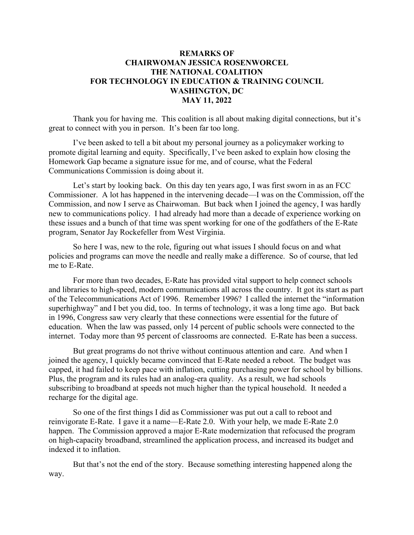## **REMARKS OF CHAIRWOMAN JESSICA ROSENWORCEL THE NATIONAL COALITION FOR TECHNOLOGY IN EDUCATION & TRAINING COUNCIL WASHINGTON, DC MAY 11, 2022**

Thank you for having me. This coalition is all about making digital connections, but it's great to connect with you in person. It's been far too long.

I've been asked to tell a bit about my personal journey as a policymaker working to promote digital learning and equity. Specifically, I've been asked to explain how closing the Homework Gap became a signature issue for me, and of course, what the Federal Communications Commission is doing about it.

Let's start by looking back. On this day ten years ago, I was first sworn in as an FCC Commissioner. A lot has happened in the intervening decade—I was on the Commission, off the Commission, and now I serve as Chairwoman. But back when I joined the agency, I was hardly new to communications policy. I had already had more than a decade of experience working on these issues and a bunch of that time was spent working for one of the godfathers of the E-Rate program, Senator Jay Rockefeller from West Virginia.

So here I was, new to the role, figuring out what issues I should focus on and what policies and programs can move the needle and really make a difference. So of course, that led me to E-Rate.

For more than two decades, E-Rate has provided vital support to help connect schools and libraries to high-speed, modern communications all across the country. It got its start as part of the Telecommunications Act of 1996. Remember 1996? I called the internet the "information superhighway" and I bet you did, too. In terms of technology, it was a long time ago. But back in 1996, Congress saw very clearly that these connections were essential for the future of education. When the law was passed, only 14 percent of public schools were connected to the internet. Today more than 95 percent of classrooms are connected. E-Rate has been a success.

But great programs do not thrive without continuous attention and care. And when I joined the agency, I quickly became convinced that E-Rate needed a reboot. The budget was capped, it had failed to keep pace with inflation, cutting purchasing power for school by billions. Plus, the program and its rules had an analog-era quality. As a result, we had schools subscribing to broadband at speeds not much higher than the typical household. It needed a recharge for the digital age.

So one of the first things I did as Commissioner was put out a call to reboot and reinvigorate E-Rate. I gave it a name—E-Rate 2.0. With your help, we made E-Rate 2.0 happen. The Commission approved a major E-Rate modernization that refocused the program on high-capacity broadband, streamlined the application process, and increased its budget and indexed it to inflation.

But that's not the end of the story. Because something interesting happened along the way.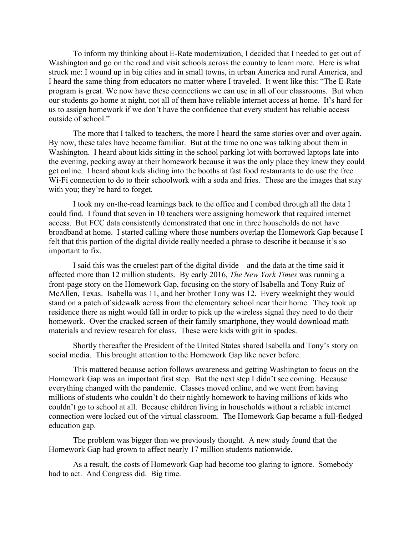To inform my thinking about E-Rate modernization, I decided that I needed to get out of Washington and go on the road and visit schools across the country to learn more. Here is what struck me: I wound up in big cities and in small towns, in urban America and rural America, and I heard the same thing from educators no matter where I traveled. It went like this: "The E-Rate program is great. We now have these connections we can use in all of our classrooms. But when our students go home at night, not all of them have reliable internet access at home. It's hard for us to assign homework if we don't have the confidence that every student has reliable access outside of school."

The more that I talked to teachers, the more I heard the same stories over and over again. By now, these tales have become familiar. But at the time no one was talking about them in Washington. I heard about kids sitting in the school parking lot with borrowed laptops late into the evening, pecking away at their homework because it was the only place they knew they could get online. I heard about kids sliding into the booths at fast food restaurants to do use the free W<sub>1</sub>-F<sub>1</sub> connection to do to their schoolwork with a soda and fries. These are the images that stay with you; they're hard to forget.

I took my on-the-road learnings back to the office and I combed through all the data I could find. I found that seven in 10 teachers were assigning homework that required internet access. But FCC data consistently demonstrated that one in three households do not have broadband at home. I started calling where those numbers overlap the Homework Gap because I felt that this portion of the digital divide really needed a phrase to describe it because it's so important to fix.

I said this was the cruelest part of the digital divide—and the data at the time said it affected more than 12 million students. By early 2016, *The New York Times* was running a front-page story on the Homework Gap, focusing on the story of Isabella and Tony Ruiz of McAllen, Texas. Isabella was 11, and her brother Tony was 12. Every weeknight they would stand on a patch of sidewalk across from the elementary school near their home. They took up residence there as night would fall in order to pick up the wireless signal they need to do their homework. Over the cracked screen of their family smartphone, they would download math materials and review research for class. These were kids with grit in spades.

Shortly thereafter the President of the United States shared Isabella and Tony's story on social media. This brought attention to the Homework Gap like never before.

This mattered because action follows awareness and getting Washington to focus on the Homework Gap was an important first step. But the next step I didn't see coming. Because everything changed with the pandemic. Classes moved online, and we went from having millions of students who couldn't do their nightly homework to having millions of kids who couldn't go to school at all. Because children living in households without a reliable internet connection were locked out of the virtual classroom. The Homework Gap became a full-fledged education gap.

The problem was bigger than we previously thought. A new study found that the Homework Gap had grown to affect nearly 17 million students nationwide.

As a result, the costs of Homework Gap had become too glaring to ignore. Somebody had to act. And Congress did. Big time.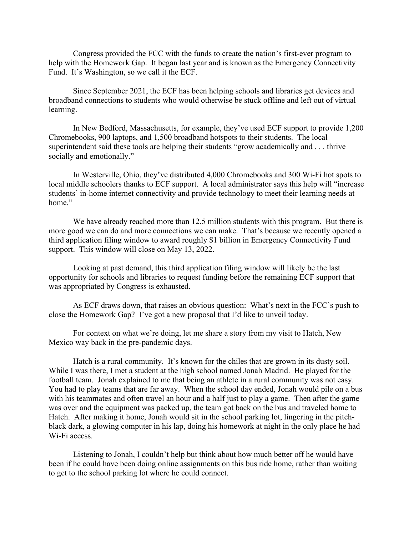Congress provided the FCC with the funds to create the nation's first-ever program to help with the Homework Gap. It began last year and is known as the Emergency Connectivity Fund. It's Washington, so we call it the ECF.

Since September 2021, the ECF has been helping schools and libraries get devices and broadband connections to students who would otherwise be stuck offline and left out of virtual learning.

In New Bedford, Massachusetts, for example, they've used ECF support to provide 1,200 Chromebooks, 900 laptops, and 1,500 broadband hotspots to their students. The local superintendent said these tools are helping their students "grow academically and . . . thrive socially and emotionally."

In Westerville, Ohio, they've distributed 4,000 Chromebooks and 300 Wi-Fi hot spots to local middle schoolers thanks to ECF support. A local administrator says this help will "increase students' in-home internet connectivity and provide technology to meet their learning needs at home."

We have already reached more than 12.5 million students with this program. But there is more good we can do and more connections we can make. That's because we recently opened a third application filing window to award roughly \$1 billion in Emergency Connectivity Fund support. This window will close on May 13, 2022.

Looking at past demand, this third application filing window will likely be the last opportunity for schools and libraries to request funding before the remaining ECF support that was appropriated by Congress is exhausted.

As ECF draws down, that raises an obvious question: What's next in the FCC's push to close the Homework Gap? I've got a new proposal that I'd like to unveil today.

For context on what we're doing, let me share a story from my visit to Hatch, New Mexico way back in the pre-pandemic days.

Hatch is a rural community. It's known for the chiles that are grown in its dusty soil. While I was there, I met a student at the high school named Jonah Madrid. He played for the football team. Jonah explained to me that being an athlete in a rural community was not easy. You had to play teams that are far away. When the school day ended, Jonah would pile on a bus with his teammates and often travel an hour and a half just to play a game. Then after the game was over and the equipment was packed up, the team got back on the bus and traveled home to Hatch. After making it home, Jonah would sit in the school parking lot, lingering in the pitchblack dark, a glowing computer in his lap, doing his homework at night in the only place he had Wi-Fi access.

Listening to Jonah, I couldn't help but think about how much better off he would have been if he could have been doing online assignments on this bus ride home, rather than waiting to get to the school parking lot where he could connect.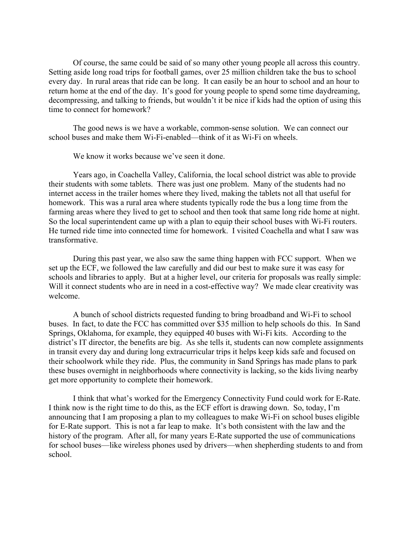Of course, the same could be said of so many other young people all across this country. Setting aside long road trips for football games, over 25 million children take the bus to school every day. In rural areas that ride can be long. It can easily be an hour to school and an hour to return home at the end of the day. It's good for young people to spend some time daydreaming, decompressing, and talking to friends, but wouldn't it be nice if kids had the option of using this time to connect for homework?

The good news is we have a workable, common-sense solution. We can connect our school buses and make them Wi-Fi-enabled—think of it as Wi-Fi on wheels.

We know it works because we've seen it done.

Years ago, in Coachella Valley, California, the local school district was able to provide their students with some tablets. There was just one problem. Many of the students had no internet access in the trailer homes where they lived, making the tablets not all that useful for homework. This was a rural area where students typically rode the bus a long time from the farming areas where they lived to get to school and then took that same long ride home at night. So the local superintendent came up with a plan to equip their school buses with Wi-Fi routers. He turned ride time into connected time for homework. I visited Coachella and what I saw was transformative.

During this past year, we also saw the same thing happen with FCC support. When we set up the ECF, we followed the law carefully and did our best to make sure it was easy for schools and libraries to apply. But at a higher level, our criteria for proposals was really simple: Will it connect students who are in need in a cost-effective way? We made clear creativity was welcome.

A bunch of school districts requested funding to bring broadband and Wi-Fi to school buses. In fact, to date the FCC has committed over \$35 million to help schools do this. In Sand Springs, Oklahoma, for example, they equipped 40 buses with Wi-Fi kits. According to the district's IT director, the benefits are big. As she tells it, students can now complete assignments in transit every day and during long extracurricular trips it helps keep kids safe and focused on their schoolwork while they ride. Plus, the community in Sand Springs has made plans to park these buses overnight in neighborhoods where connectivity is lacking, so the kids living nearby get more opportunity to complete their homework.

I think that what's worked for the Emergency Connectivity Fund could work for E-Rate. I think now is the right time to do this, as the ECF effort is drawing down. So, today, I'm announcing that I am proposing a plan to my colleagues to make Wi-Fi on school buses eligible for E-Rate support. This is not a far leap to make. It's both consistent with the law and the history of the program. After all, for many years E-Rate supported the use of communications for school buses—like wireless phones used by drivers—when shepherding students to and from school.